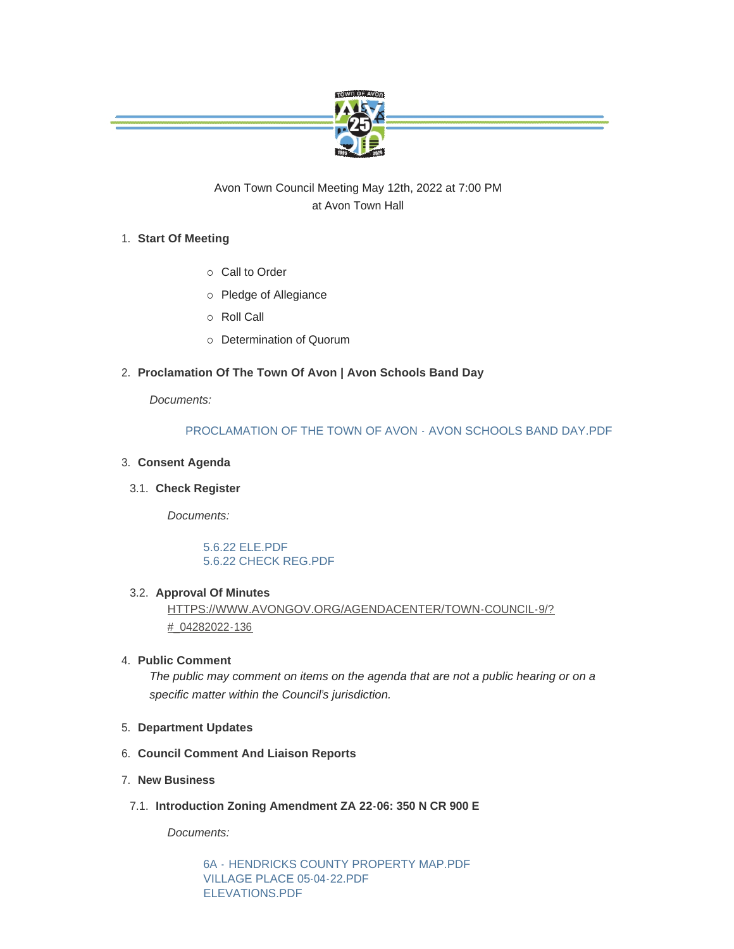

# Avon Town Council Meeting May 12th, 2022 at 7:00 PM at Avon Town Hall

# **Start Of Meeting** 1.

- o Call to Order
- o Pledge of Allegiance
- ¡ Roll Call
- ¡ Determination of Quorum

# **Proclamation Of The Town Of Avon | Avon Schools Band Day** 2.

*Documents:*

# [PROCLAMATION OF THE TOWN OF AVON - AVON SCHOOLS BAND DAY.PDF](https://www.avongov.org/AgendaCenter/ViewFile/Item/434?fileID=333)

# **Consent Agenda** 3.

#### **Check Register** 3.1.

*Documents:*

# [5.6.22 ELE.PDF](https://www.avongov.org/AgendaCenter/ViewFile/Item/457?fileID=347) [5.6.22 CHECK REG.PDF](https://www.avongov.org/AgendaCenter/ViewFile/Item/457?fileID=348)

#### **Approval Of Minutes** 3.2.

[HTTPS://WWW.AVONGOV.ORG/AGENDACENTER/TOWN-COUNCIL-9/?](https://www.avongov.org/AgendaCenter/Town-Council-9/?#_04282022-136) #\_04282022-136

## **Public Comment** 4.

*The public may comment on items on the agenda that are not a public hearing or on a specific matter within the Council's jurisdiction.*

- **Department Updates** 5.
- **Council Comment And Liaison Reports** 6.
- **New Business** 7.
- **Introduction Zoning Amendment ZA 22-06: 350 N CR 900 E** 7.1.

*Documents:*

6A - [HENDRICKS COUNTY PROPERTY MAP.PDF](https://www.avongov.org/AgendaCenter/ViewFile/Item/451?fileID=344) [VILLAGE PLACE 05-04-22.PDF](https://www.avongov.org/AgendaCenter/ViewFile/Item/451?fileID=345) [ELEVATIONS.PDF](https://www.avongov.org/AgendaCenter/ViewFile/Item/451?fileID=346)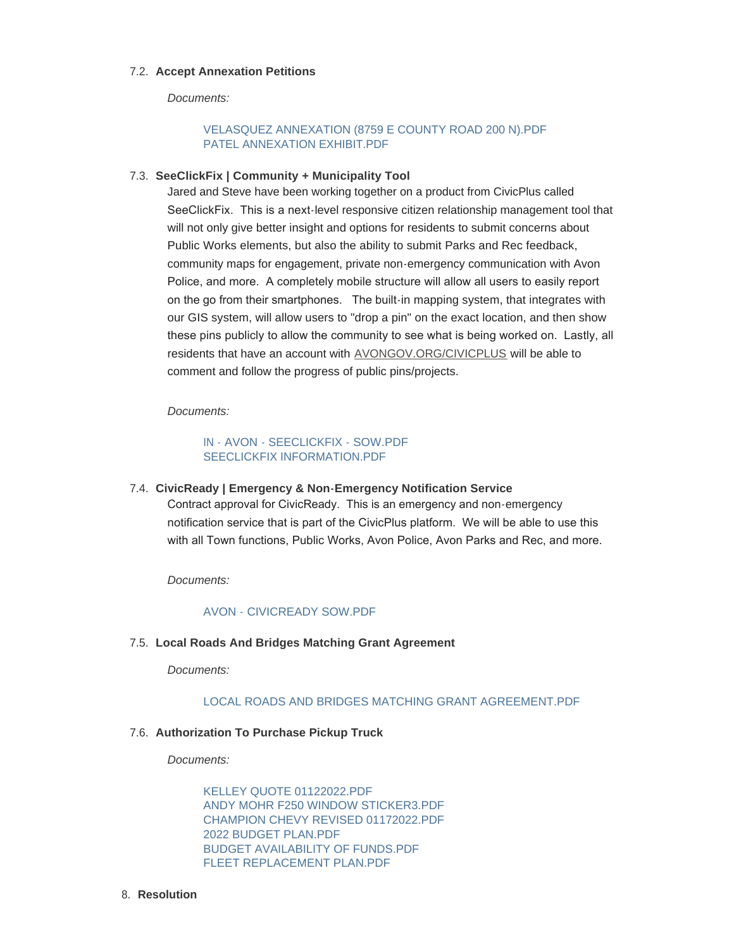#### **Accept Annexation Petitions** 7.2.

*Documents:*

# [VELASQUEZ ANNEXATION \(8759 E COUNTY ROAD 200 N\).PDF](https://www.avongov.org/AgendaCenter/ViewFile/Item/452?fileID=335) [PATEL ANNEXATION EXHIBIT.PDF](https://www.avongov.org/AgendaCenter/ViewFile/Item/452?fileID=336)

#### **SeeClickFix | Community + Municipality Tool** 7.3.

Jared and Steve have been working together on a product from CivicPlus called SeeClickFix. This is a next-level responsive citizen relationship management tool that will not only give better insight and options for residents to submit concerns about Public Works elements, but also the ability to submit Parks and Rec feedback, community maps for engagement, private non-emergency communication with Avon Police, and more. A completely mobile structure will allow all users to easily report on the go from their smartphones. The built-in mapping system, that integrates with our GIS system, will allow users to "drop a pin" on the exact location, and then show these pins publicly to allow the community to see what is being worked on. Lastly, all residents that have an account with [AVONGOV.ORG/CIVICPLUS](https://avongov.org/CivicPlus) will be able to comment and follow the progress of public pins/projects.

*Documents:*

#### [IN - AVON - SEECLICKFIX - SOW.PDF](https://www.avongov.org/AgendaCenter/ViewFile/Item/433?fileID=331) [SEECLICKFIX INFORMATION.PDF](https://www.avongov.org/AgendaCenter/ViewFile/Item/433?fileID=332)

**CivicReady | Emergency & Non-Emergency Notification Service** 7.4. Contract approval for CivicReady. This is an emergency and non-emergency notification service that is part of the CivicPlus platform. We will be able to use this with all Town functions, Public Works, Avon Police, Avon Parks and Rec, and more.

*Documents:*

#### [AVON - CIVICREADY SOW.PDF](https://www.avongov.org/AgendaCenter/ViewFile/Item/449?fileID=334)

#### **Local Roads And Bridges Matching Grant Agreement** 7.5.

*Documents:*

#### [LOCAL ROADS AND BRIDGES MATCHING GRANT AGREEMENT.PDF](https://www.avongov.org/AgendaCenter/ViewFile/Item/453?fileID=349)

#### **Authorization To Purchase Pickup Truck** 7.6.

*Documents:*

[KELLEY QUOTE 01122022.PDF](https://www.avongov.org/AgendaCenter/ViewFile/Item/454?fileID=337) [ANDY MOHR F250 WINDOW STICKER3.PDF](https://www.avongov.org/AgendaCenter/ViewFile/Item/454?fileID=338) [CHAMPION CHEVY REVISED 01172022.PDF](https://www.avongov.org/AgendaCenter/ViewFile/Item/454?fileID=339) [2022 BUDGET PLAN.PDF](https://www.avongov.org/AgendaCenter/ViewFile/Item/454?fileID=340) [BUDGET AVAILABILITY OF FUNDS.PDF](https://www.avongov.org/AgendaCenter/ViewFile/Item/454?fileID=341) [FLEET REPLACEMENT PLAN.PDF](https://www.avongov.org/AgendaCenter/ViewFile/Item/454?fileID=342)

#### **Resolution** 8.